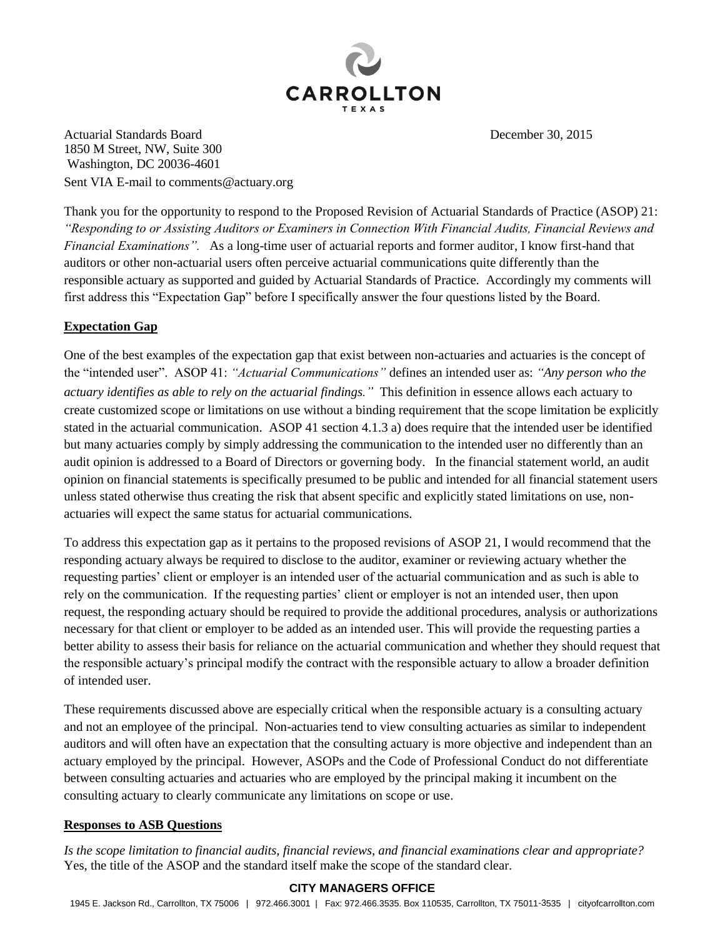

Actuarial Standards Board December 30, 2015 1850 M Street, NW, Suite 300 Washington, DC 20036-4601 Sent VIA E-mail to comments@actuary.org

Thank you for the opportunity to respond to the Proposed Revision of Actuarial Standards of Practice (ASOP) 21: *"Responding to or Assisting Auditors or Examiners in Connection With Financial Audits, Financial Reviews and Financial Examinations".* As a long-time user of actuarial reports and former auditor, I know first-hand that auditors or other non-actuarial users often perceive actuarial communications quite differently than the responsible actuary as supported and guided by Actuarial Standards of Practice. Accordingly my comments will first address this "Expectation Gap" before I specifically answer the four questions listed by the Board.

## **Expectation Gap**

One of the best examples of the expectation gap that exist between non-actuaries and actuaries is the concept of the "intended user". ASOP 41: *"Actuarial Communications"* defines an intended user as: *"Any person who the actuary identifies as able to rely on the actuarial findings."* This definition in essence allows each actuary to create customized scope or limitations on use without a binding requirement that the scope limitation be explicitly stated in the actuarial communication. ASOP 41 section 4.1.3 a) does require that the intended user be identified but many actuaries comply by simply addressing the communication to the intended user no differently than an audit opinion is addressed to a Board of Directors or governing body. In the financial statement world, an audit opinion on financial statements is specifically presumed to be public and intended for all financial statement users unless stated otherwise thus creating the risk that absent specific and explicitly stated limitations on use, nonactuaries will expect the same status for actuarial communications.

To address this expectation gap as it pertains to the proposed revisions of ASOP 21, I would recommend that the responding actuary always be required to disclose to the auditor, examiner or reviewing actuary whether the requesting parties' client or employer is an intended user of the actuarial communication and as such is able to rely on the communication. If the requesting parties' client or employer is not an intended user, then upon request, the responding actuary should be required to provide the additional procedures, analysis or authorizations necessary for that client or employer to be added as an intended user. This will provide the requesting parties a better ability to assess their basis for reliance on the actuarial communication and whether they should request that the responsible actuary's principal modify the contract with the responsible actuary to allow a broader definition of intended user.

These requirements discussed above are especially critical when the responsible actuary is a consulting actuary and not an employee of the principal. Non-actuaries tend to view consulting actuaries as similar to independent auditors and will often have an expectation that the consulting actuary is more objective and independent than an actuary employed by the principal. However, ASOPs and the Code of Professional Conduct do not differentiate between consulting actuaries and actuaries who are employed by the principal making it incumbent on the consulting actuary to clearly communicate any limitations on scope or use.

## **Responses to ASB Questions**

*Is the scope limitation to financial audits, financial reviews, and financial examinations clear and appropriate?* Yes, the title of the ASOP and the standard itself make the scope of the standard clear.

## **CITY MANAGERS OFFICE**

1945 E. Jackson Rd., Carrollton, TX 75006 | 972.466.3001 | Fax: 972.466.3535. Box 110535, Carrollton, TX 75011-3535 | cityofcarrollton.com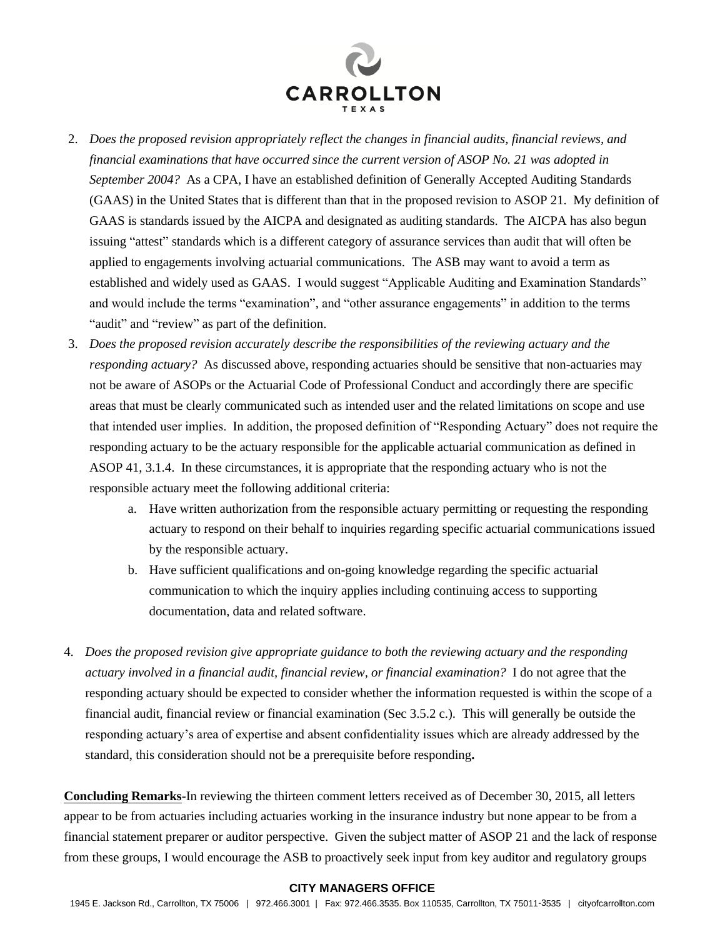

- 2. *Does the proposed revision appropriately reflect the changes in financial audits, financial reviews, and financial examinations that have occurred since the current version of ASOP No. 21 was adopted in September 2004?* As a CPA, I have an established definition of Generally Accepted Auditing Standards (GAAS) in the United States that is different than that in the proposed revision to ASOP 21. My definition of GAAS is standards issued by the AICPA and designated as auditing standards. The AICPA has also begun issuing "attest" standards which is a different category of assurance services than audit that will often be applied to engagements involving actuarial communications. The ASB may want to avoid a term as established and widely used as GAAS. I would suggest "Applicable Auditing and Examination Standards" and would include the terms "examination", and "other assurance engagements" in addition to the terms "audit" and "review" as part of the definition.
- 3. *Does the proposed revision accurately describe the responsibilities of the reviewing actuary and the responding actuary?* As discussed above, responding actuaries should be sensitive that non-actuaries may not be aware of ASOPs or the Actuarial Code of Professional Conduct and accordingly there are specific areas that must be clearly communicated such as intended user and the related limitations on scope and use that intended user implies. In addition, the proposed definition of "Responding Actuary" does not require the responding actuary to be the actuary responsible for the applicable actuarial communication as defined in ASOP 41, 3.1.4. In these circumstances, it is appropriate that the responding actuary who is not the responsible actuary meet the following additional criteria:
	- a. Have written authorization from the responsible actuary permitting or requesting the responding actuary to respond on their behalf to inquiries regarding specific actuarial communications issued by the responsible actuary.
	- b. Have sufficient qualifications and on-going knowledge regarding the specific actuarial communication to which the inquiry applies including continuing access to supporting documentation, data and related software.
- 4. *Does the proposed revision give appropriate guidance to both the reviewing actuary and the responding actuary involved in a financial audit, financial review, or financial examination?* I do not agree that the responding actuary should be expected to consider whether the information requested is within the scope of a financial audit, financial review or financial examination (Sec 3.5.2 c.).This will generally be outside the responding actuary's area of expertise and absent confidentiality issues which are already addressed by the standard, this consideration should not be a prerequisite before responding**.**

**Concluding Remarks**-In reviewing the thirteen comment letters received as of December 30, 2015, all letters appear to be from actuaries including actuaries working in the insurance industry but none appear to be from a financial statement preparer or auditor perspective. Given the subject matter of ASOP 21 and the lack of response from these groups, I would encourage the ASB to proactively seek input from key auditor and regulatory groups

## **CITY MANAGERS OFFICE**